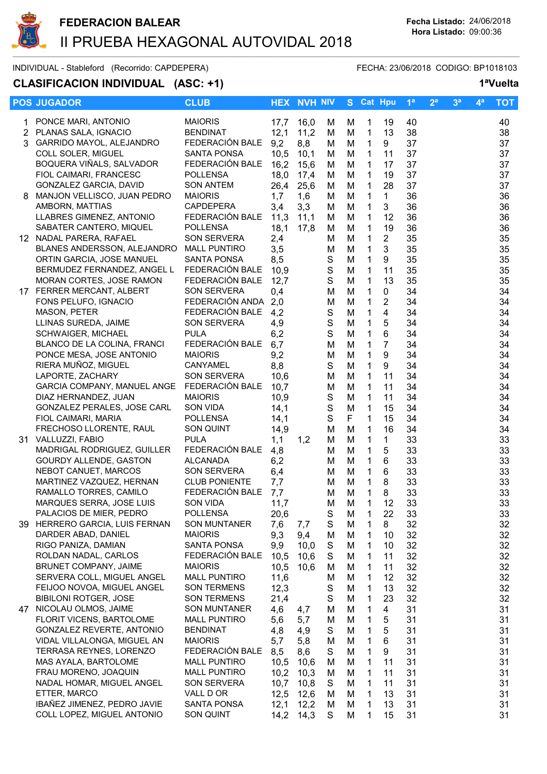

INDIVIDUAL - Stableford (Recorrido: CAPDEPERA) FECHA: 23/06/2018 CODIGO: BP1018103

# CLASIFICACION INDIVIDUAL (ASC: +1) 1<sup>a</sup>Vuelta

|                | <b>POS JUGADOR</b>                                     | <b>CLUB</b>                       |              | <b>HEX NVH NIV</b> |             |        | S Cat Hpu    |                | 1 <sup>a</sup> | 2 <sup>a</sup> | 3 <sup>a</sup> | $\mathbf{4}^{\mathbf{a}}$ | <b>TOT</b> |
|----------------|--------------------------------------------------------|-----------------------------------|--------------|--------------------|-------------|--------|--------------|----------------|----------------|----------------|----------------|---------------------------|------------|
|                | PONCE MARI, ANTONIO                                    | <b>MAIORIS</b>                    | 17,7         | 16,0               | м           | М      | 1            | 19             | 40             |                |                |                           | 40         |
| $\overline{2}$ | PLANAS SALA, IGNACIO                                   | <b>BENDINAT</b>                   | 12,1         | 11,2               |             |        | $\mathbf{1}$ | 13             | 38             |                |                |                           | 38         |
|                | 3 GARRIDO MAYOL, ALEJANDRO                             | FEDERACIÓN BALE                   | 9,2          | 8,8                | м           | М<br>M | $\mathbf{1}$ | 9              | 37             |                |                |                           | 37         |
|                | COLL SOLER, MIGUEL                                     | <b>SANTA PONSA</b>                |              |                    | М           |        |              |                |                |                |                |                           |            |
|                |                                                        |                                   | 10,5         | 10,1               | M           | M      | 1            | 11             | 37             |                |                |                           | 37         |
|                | BOQUERA VIÑALS, SALVADOR                               | FEDERACIÓN BALE                   | 16,2         | 15,6               | м           | M      | 1            | 17             | 37             |                |                |                           | 37         |
|                | FIOL CAIMARI, FRANCESC                                 | <b>POLLENSA</b>                   | 18,0         | 17,4               | м           | M      | $\mathbf{1}$ | 19             | 37             |                |                |                           | 37         |
|                | <b>GONZALEZ GARCIA, DAVID</b>                          | <b>SON ANTEM</b>                  | 26,4         | 25,6               | м           | M      | $\mathbf{1}$ | 28             | 37             |                |                |                           | 37         |
| 8              | MANJON VELLISCO, JUAN PEDRO                            | <b>MAIORIS</b>                    | 1,7          | 1,6                | м           | M      | $\mathbf{1}$ | 1              | 36             |                |                |                           | 36         |
|                | AMBORN, MATTIAS                                        | <b>CAPDEPERA</b>                  | 3,4          | 3,3                | м           | M      | 1            | 3              | 36             |                |                |                           | 36         |
|                | LLABRES GIMENEZ, ANTONIO                               | FEDERACIÓN BALE                   | 11,3         | 11,1               | м           | M      | 1            | 12             | 36             |                |                |                           | 36         |
|                | SABATER CANTERO, MIQUEL                                | <b>POLLENSA</b>                   | 18,1         | 17,8               | м           | M      | 1            | 19             | 36             |                |                |                           | 36         |
|                | 12 NADAL PARERA, RAFAEL                                | SON SERVERA                       | 2,4          |                    | м           | M      | 1            | $\overline{2}$ | 35             |                |                |                           | 35         |
|                | BLANES ANDERSSON, ALEJANDRO                            | <b>MALL PUNTIRO</b>               | 3,5          |                    | M           | M      | 1            | 3              | 35             |                |                |                           | 35         |
|                | ORTIN GARCIA, JOSE MANUEL                              | <b>SANTA PONSA</b>                | 8,5          |                    | S           | M      | 1            | 9              | 35             |                |                |                           | 35         |
|                | BERMUDEZ FERNANDEZ, ANGEL L                            | FEDERACIÓN BALE                   | 10,9         |                    | $\mathbf S$ | M      | $\mathbf{1}$ | 11             | 35             |                |                |                           | 35         |
|                | MORAN CORTES, JOSE RAMON                               | FEDERACIÓN BALE                   | 12,7         |                    | $\mathsf S$ | M      | 1            | 13             | 35             |                |                |                           | 35         |
|                | 17 FERRER MERCANT, ALBERT                              | <b>SON SERVERA</b>                | 0,4          |                    | M           | M      | 1            | $\mathbf 0$    | 34             |                |                |                           | 34         |
|                | FONS PELUFO, IGNACIO                                   | FEDERACIÓN ANDA                   | 2,0          |                    | M           | M      | $\mathbf{1}$ | 2              | 34             |                |                |                           | 34         |
|                | <b>MASON, PETER</b>                                    | FEDERACIÓN BALE                   | 4,2          |                    | $\mathbf S$ | M      | $\mathbf 1$  | 4              | 34             |                |                |                           | 34         |
|                | LLINAS SUREDA, JAIME                                   | SON SERVERA                       | 4,9          |                    | $\mathbf S$ | M      | $\mathbf 1$  | 5              | 34             |                |                |                           | 34         |
|                | <b>SCHWAIGER, MICHAEL</b>                              | <b>PULA</b>                       | 6,2          |                    | $\mathbf S$ | M      | 1            | 6              | 34             |                |                |                           | 34         |
|                | BLANCO DE LA COLINA, FRANCI                            | FEDERACIÓN BALE                   | 6,7          |                    | M           | M      | 1            | $\overline{7}$ | 34             |                |                |                           | 34         |
|                | PONCE MESA, JOSE ANTONIO                               | <b>MAIORIS</b>                    | 9,2          |                    | M           | M      | 1            | 9              | 34             |                |                |                           | 34         |
|                | RIERA MUÑOZ, MIGUEL                                    | CANYAMEL                          | 8,8          |                    | S           | M      | $\mathbf{1}$ | 9              | 34             |                |                |                           | 34         |
|                | LAPORTE, ZACHARY                                       | SON SERVERA                       | 10,6         |                    | M           | M      | 1            | 11             | 34             |                |                |                           | 34         |
|                | GARCIA COMPANY, MANUEL ANGE                            | FEDERACIÓN BALE                   | 10,7         |                    | M           | M      | 1            | 11             | 34             |                |                |                           | 34         |
|                | DIAZ HERNANDEZ, JUAN                                   | <b>MAIORIS</b>                    | 10,9         |                    | S           | M      | 1            | 11             | 34             |                |                |                           | 34         |
|                | GONZALEZ PERALES, JOSE CARL                            | SON VIDA                          | 14,1         |                    | $\mathsf S$ | M      | $\mathbf{1}$ | 15             | 34             |                |                |                           | 34         |
|                | FIOL CAIMARI, MARIA                                    | <b>POLLENSA</b>                   | 14,1         |                    | $\mathbf S$ | F      | $\mathbf{1}$ | 15             | 34             |                |                |                           | 34         |
|                | FRECHOSO LLORENTE, RAUL                                | <b>SON QUINT</b>                  | 14,9         |                    | M           | M      | 1            | 16             | 34             |                |                |                           | 34         |
|                | 31 VALLUZZI, FABIO                                     | <b>PULA</b>                       | 1,1          | 1,2                | M           | M      | $\mathbf{1}$ | 1              | 33             |                |                |                           | 33         |
|                | MADRIGAL RODRIGUEZ, GUILLER                            | FEDERACIÓN BALE                   | 4,8          |                    | M           | M      | $\mathbf{1}$ | 5              | 33             |                |                |                           | 33         |
|                | <b>GOURDY ALLENDE, GASTON</b>                          | <b>ALCANADA</b>                   | 6,2          |                    | М           | M      | 1            | 6              | 33             |                |                |                           | 33         |
|                | NEBOT CANUET, MARCOS                                   | <b>SON SERVERA</b>                | 6,4          |                    | М           | M      | 1            | 6              | 33             |                |                |                           | 33         |
|                | MARTINEZ VAZQUEZ, HERNAN                               | <b>CLUB PONIENTE</b>              | 7,7          |                    | М           | M      | 1            | 8              | 33             |                |                |                           | 33         |
|                | RAMALLO TORRES, CAMILO                                 | FEDERACIÓN BALE                   | 7,7          |                    | M           | M      | 1            | 8              | 33             |                |                |                           | 33         |
|                | MARQUES SERRA, JOSE LUIS                               | <b>SON VIDA</b>                   | 11,7         |                    | M           | M      | 1            | 12             | 33             |                |                |                           | 33         |
|                | PALACIOS DE MIER, PEDRO                                | <b>POLLENSA</b>                   | 20,6         |                    | S           | M      | 1            | 22             | 33             |                |                |                           | 33         |
|                | 39 HERRERO GARCIA, LUIS FERNAN                         | <b>SON MUNTANER</b>               | 7,6          | 7,7                | $\mathsf S$ | M      | 1            | 8              | 32             |                |                |                           | 32         |
|                | DARDER ABAD, DANIEL                                    | <b>MAIORIS</b>                    | 9,3          | 9,4                | M           | M      | 1            | 10             | 32             |                |                |                           | 32         |
|                | RIGO PANIZA, DAMIAN                                    | <b>SANTA PONSA</b>                | 9,9          | 10,0               | S           | M      | 1            | 10             | 32             |                |                |                           | 32         |
|                | ROLDAN NADAL, CARLOS                                   | FEDERACIÓN BALE                   | 10,5         | 10,6               | S           | M      | 1            | 11             | 32             |                |                |                           | 32         |
|                | BRUNET COMPANY, JAIME                                  | <b>MAIORIS</b>                    | 10,5         | 10,6               | M           | M      | 1            | 11             | 32             |                |                |                           | 32         |
|                | SERVERA COLL, MIGUEL ANGEL                             | <b>MALL PUNTIRO</b>               | 11,6         |                    | M           | M      | $\mathbf 1$  | 12             | 32             |                |                |                           | 32         |
|                | FEIJOO NOVOA, MIGUEL ANGEL                             | <b>SON TERMENS</b>                | 12,3         |                    | $\mathsf S$ | M      | 1            | 13             | 32             |                |                |                           | 32         |
|                | <b>BIBILONI ROTGER, JOSE</b>                           | <b>SON TERMENS</b>                | 21,4         |                    | S           | M      | 1            | 23             | 32             |                |                |                           | 32         |
|                | 47 NICOLAU OLMOS, JAIME                                | <b>SON MUNTANER</b>               | 4,6          | 4,7                | M           | M      | 1            | 4              | 31             |                |                |                           | 31         |
|                | <b>FLORIT VICENS, BARTOLOME</b>                        | <b>MALL PUNTIRO</b>               | 5,6          | 5,7                | M           | М      | 1            | 5              | 31             |                |                |                           | 31         |
|                | GONZALEZ REVERTE, ANTONIO                              | <b>BENDINAT</b>                   | 4,8          | 4,9                | S           | M      | 1            | 5              | 31             |                |                |                           | 31         |
|                | VIDAL VILLALONGA, MIGUEL AN                            | <b>MAIORIS</b><br>FEDERACIÓN BALE | 5,7          | 5,8                | M           | M      | 1            | 6              | 31             |                |                |                           | 31         |
|                | <b>TERRASA REYNES, LORENZO</b><br>MAS AYALA, BARTOLOME | <b>MALL PUNTIRO</b>               | 8,5          | 8,6<br>10,6        | S           | М      | 1            | 9<br>11        | 31<br>31       |                |                |                           | 31<br>31   |
|                | FRAU MORENO, JOAQUIN                                   | <b>MALL PUNTIRO</b>               | 10,5<br>10,2 | 10,3               | м           | M      | 1<br>1       | 11             | 31             |                |                |                           | 31         |
|                | NADAL HOMAR, MIGUEL ANGEL                              | <b>SON SERVERA</b>                | 10,7         | 10,8               | м           | M<br>M | 1            | 11             | 31             |                |                |                           | 31         |
|                | ETTER, MARCO                                           | VALL D OR                         | 12,5         | 12,6               | S<br>M      | M      | 1            | 13             | 31             |                |                |                           | 31         |
|                | IBAÑEZ JIMENEZ, PEDRO JAVIE                            | SANTA PONSA                       | 12,1         | 12,2               | M           | M      | 1            | 13             | 31             |                |                |                           | 31         |
|                | COLL LOPEZ, MIGUEL ANTONIO                             | SON QUINT                         | 14,2         | 14,3               | S           | M      | 1            | 15             | 31             |                |                |                           | 31         |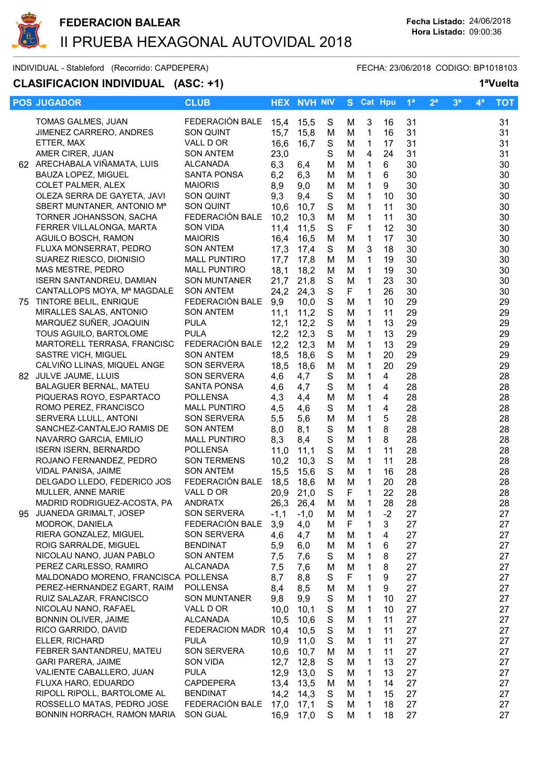

### INDIVIDUAL - Stableford (Recorrido: CAPDEPERA) FECHA: 23/06/2018 CODIGO: BP1018103

## CLASIFICACION INDIVIDUAL (ASC: +1) 1<sup>a</sup>Vuelta

| <b>POS JUGADOR</b>                                     | <b>CLUB</b>                           |              | <b>HEX NVH NIV</b> |                            |        | S Cat Hpu                    |                | 1 <sup>a</sup> | 2 <sup>a</sup> | 3 <sup>a</sup> | $\mathbf{4}^{\mathbf{a}}$ | <b>TOT</b> |
|--------------------------------------------------------|---------------------------------------|--------------|--------------------|----------------------------|--------|------------------------------|----------------|----------------|----------------|----------------|---------------------------|------------|
| TOMAS GALMES, JUAN                                     | FEDERACIÓN BALE                       | 15,4         | 15,5               | S                          | М      | 3                            | 16             | 31             |                |                |                           | 31         |
| JIMENEZ CARRERO, ANDRES                                | SON QUINT                             | 15,7         | 15,8               | M                          | M      | 1                            | 16             | 31             |                |                |                           | 31         |
| ETTER, MAX                                             | VALL D OR                             | 16,6         | 16,7               | S                          | M      | $\mathbf{1}$                 | 17             | 31             |                |                |                           | 31         |
| AMER CIRER, JUAN                                       | <b>SON ANTEM</b>                      | 23,0         |                    | S                          | M      | $\overline{4}$               | 24             | 31             |                |                |                           | 31         |
| 62 ARECHABALA VIÑAMATA, LUIS                           | <b>ALCANADA</b>                       |              |                    |                            | M      | 1                            | 6              | 30             |                |                |                           | 30         |
| BAUZA LOPEZ, MIGUEL                                    | <b>SANTA PONSA</b>                    | 6,3          | 6,4                | M                          |        |                              |                |                |                |                |                           |            |
|                                                        |                                       | 6,2          | 6,3                | M                          | M      | $\mathbf{1}$                 | 6              | 30             |                |                |                           | 30         |
| COLET PALMER, ALEX                                     | <b>MAIORIS</b>                        | 8,9          | 9,0                | M                          | M      | $\mathbf 1$                  | 9              | 30             |                |                |                           | 30         |
| OLEZA SERRA DE GAYETA, JAVI                            | SON QUINT                             | 9,3          | 9,4                | S                          | M      | $\mathbf{1}$                 | 10             | 30             |                |                |                           | 30         |
| SBERT MUNTANER, ANTONIO M <sup>a</sup>                 | SON QUINT                             | 10,6         | 10,7               | S                          | M      | $\mathbf{1}$                 | 11             | 30             |                |                |                           | 30         |
| TORNER JOHANSSON, SACHA                                | FEDERACIÓN BALE                       | 10,2         | 10,3               | M                          | M      | $\mathbf{1}$                 | 11             | 30             |                |                |                           | 30         |
| FERRER VILLALONGA, MARTA                               | <b>SON VIDA</b>                       | 11,4         | 11,5               | S                          | F      | 1                            | 12             | 30             |                |                |                           | 30         |
| AGUILO BOSCH, RAMON                                    | <b>MAIORIS</b>                        | 16,4         | 16,5               | M                          | M      | 1                            | 17             | 30             |                |                |                           | 30         |
| FLUXA MONSERRAT, PEDRO                                 | <b>SON ANTEM</b>                      | 17,3         | 17,4               | S                          | M      | 3                            | 18             | 30             |                |                |                           | 30         |
| SUAREZ RIESCO, DIONISIO                                | <b>MALL PUNTIRO</b>                   | 17,7         | 17,8               | M                          | M      | 1                            | 19             | 30             |                |                |                           | 30         |
| MAS MESTRE, PEDRO                                      | <b>MALL PUNTIRO</b>                   | 18,1         | 18,2               | M                          | M      | $\mathbf{1}$                 | 19             | 30             |                |                |                           | 30         |
| <b>ISERN SANTANDREU, DAMIAN</b>                        | <b>SON MUNTANER</b>                   | 21,7         | 21,8               | $\mathbf S$                | M      | $\mathbf{1}$                 | 23             | 30             |                |                |                           | 30         |
| CANTALLOPS MOYA, Mª MAGDALE                            | <b>SON ANTEM</b>                      | 24,2         | 24,3               | ${\mathsf S}$              | F      | $\mathbf{1}$                 | 26             | 30             |                |                |                           | 30         |
| 75 TINTORE BELIL, ENRIQUE                              | FEDERACIÓN BALE                       | 9,9          | 10,0               | $\mathbf S$                | M      | $\mathbf{1}$                 | 10             | 29             |                |                |                           | 29         |
| MIRALLES SALAS, ANTONIO                                | <b>SON ANTEM</b>                      | 11,1         | 11,2               | $\mathbf S$                | M      | $\mathbf 1$                  | 11             | 29             |                |                |                           | 29         |
| MARQUEZ SUÑER, JOAQUIN                                 | <b>PULA</b>                           | 12,1         | 12,2               | ${\mathsf S}$              | M      | 1                            | 13             | 29             |                |                |                           | 29         |
| TOUS AGUILO, BARTOLOME                                 | <b>PULA</b>                           | 12,2         | 12,3               | $\mathbf S$                | M      | 1                            | 13             | 29             |                |                |                           | 29         |
| MARTORELL TERRASA, FRANCISC                            | FEDERACIÓN BALE                       | 12,2         | 12,3               | M                          | M      | 1                            | 13             | 29             |                |                |                           | 29         |
| SASTRE VICH, MIGUEL                                    | SON ANTEM                             | 18,5         | 18,6               | S                          | M      | 1                            | 20             | 29             |                |                |                           | 29         |
| CALVIÑO LLINAS, MIQUEL ANGE                            | SON SERVERA                           | 18,5         | 18,6               | M                          | M      | 1                            | 20             | 29             |                |                |                           | 29         |
| 82 JULVE JAUME, LLUIS                                  | SON SERVERA                           | 4,6          | 4,7                | $\mathbf S$                | M      | 1                            | 4              | 28             |                |                |                           | 28         |
| <b>BALAGUER BERNAL, MATEU</b>                          | SANTA PONSA                           | 4,6          | 4,7                | $\mathsf S$                | M      | 1                            | $\overline{4}$ | 28             |                |                |                           | 28         |
| PIQUERAS ROYO, ESPARTACO                               | <b>POLLENSA</b>                       | 4,3          | 4,4                | M                          | M      | $\mathbf{1}$                 | $\overline{4}$ | 28             |                |                |                           | 28         |
| ROMO PEREZ, FRANCISCO                                  | <b>MALL PUNTIRO</b>                   | 4,5          | 4,6                | S                          | M      | $\mathbf{1}$                 | $\overline{4}$ | 28             |                |                |                           | 28         |
| SERVERA LLULL, ANTONI                                  | <b>SON SERVERA</b>                    | 5,5          | 5,6                | M                          | M      | $\mathbf{1}$                 | 5              | 28             |                |                |                           | 28         |
| SANCHEZ-CANTALEJO RAMIS DE                             | <b>SON ANTEM</b>                      | 8,0          | 8,1                | $\mathbf S$                | M      | $\mathbf{1}$                 | $\bf 8$        | 28             |                |                |                           | 28         |
| NAVARRO GARCIA, EMILIO<br><b>ISERN ISERN, BERNARDO</b> | <b>MALL PUNTIRO</b>                   | 8,3          | 8,4                | $\mathbf S$                | M      | $\mathbf{1}$                 | 8              | 28             |                |                |                           | 28         |
|                                                        | <b>POLLENSA</b><br><b>SON TERMENS</b> | 11,0         | 11,1               | $\mathbf S$<br>$\mathbf S$ | M      | $\mathbf{1}$                 | 11<br>11       | 28<br>28       |                |                |                           | 28<br>28   |
| ROJANO FERNANDEZ, PEDRO<br>VIDAL PANISA, JAIME         | <b>SON ANTEM</b>                      | 10,2<br>15,5 | 10,3               | S                          | M<br>M | $\mathbf{1}$<br>$\mathbf{1}$ | 16             | 28             |                |                |                           | 28         |
| DELGADO LLEDO, FEDERICO JOS                            | FEDERACIÓN BALE                       | 18,5         | 15,6<br>18,6       | M                          | M      | $\mathbf{1}$                 | 20             | 28             |                |                |                           |            |
| MULLER, ANNE MARIE                                     | VALL D OR                             | 20,9         | 21,0               | S                          | F      | $\mathbf{1}$                 | 22             | 28             |                |                |                           | 28<br>28   |
| MADRID RODRIGUEZ-ACOSTA, PA                            | <b>ANDRATX</b>                        |              |                    | M                          | М      | 1                            | 28             | 28             |                |                |                           | 28         |
| 95 JUANEDA GRIMALT, JOSEP                              | <b>SON SERVERA</b>                    | 26,3         | 26,4<br>$-1,0$     |                            |        | 1                            | $-2$           | 27             |                |                |                           | 27         |
| MODROK, DANIELA                                        | FEDERACIÓN BALE                       | -1,1<br>3,9  | 4,0                | M<br>м                     | M<br>F | 1                            | 3              | 27             |                |                |                           | 27         |
| RIERA GONZALEZ, MIGUEL                                 | <b>SON SERVERA</b>                    | 4,6          | 4,7                | M                          | M      | 1                            | 4              | 27             |                |                |                           | 27         |
| ROIG SARRALDE, MIGUEL                                  | <b>BENDINAT</b>                       | 5,9          | 6,0                | M                          | M      | 1                            | 6              | 27             |                |                |                           | 27         |
| NICOLAU NANO, JUAN PABLO                               | <b>SON ANTEM</b>                      | 7,5          | 7,6                | S                          | M      | 1                            | 8              | 27             |                |                |                           | 27         |
| PEREZ CARLESSO, RAMIRO                                 | <b>ALCANADA</b>                       | 7,5          | 7,6                | M                          | M      | 1                            | 8              | 27             |                |                |                           | 27         |
| MALDONADO MORENO, FRANCISCA POLLENSA                   |                                       | 8,7          | 8,8                | S                          | F      | 1                            | 9              | 27             |                |                |                           | 27         |
| PEREZ-HERNANDEZ EGART, RAIM                            | <b>POLLENSA</b>                       | 8,4          | 8,5                | M                          | M      | 1                            | 9              | 27             |                |                |                           | 27         |
| RUIZ SALAZAR, FRANCISCO                                | <b>SON MUNTANER</b>                   | 9,8          | 9,9                | S                          | M      | 1                            | 10             | 27             |                |                |                           | 27         |
| NICOLAU NANO, RAFAEL                                   | VALL D OR                             | 10,0         | 10,1               | S                          | M      | 1                            | 10             | 27             |                |                |                           | 27         |
| BONNIN OLIVER, JAIME                                   | ALCANADA                              | 10,5         | 10,6               | S                          | М      | 1                            | 11             | 27             |                |                |                           | 27         |
| RICO GARRIDO, DAVID                                    | FEDERACION MADR                       | 10,4         | 10,5               | S                          | М      | 1                            | 11             | 27             |                |                |                           | 27         |
| ELLER, RICHARD                                         | <b>PULA</b>                           | 10,9         | 11,0               | S                          | M      | 1                            | 11             | 27             |                |                |                           | 27         |
| FEBRER SANTANDREU, MATEU                               | SON SERVERA                           | 10,6         | 10,7               | M                          | M      | 1                            | 11             | 27             |                |                |                           | 27         |
| <b>GARI PARERA, JAIME</b>                              | SON VIDA                              | 12,7         | 12,8               | S                          | M      | 1                            | 13             | 27             |                |                |                           | 27         |
| VALIENTE CABALLERO, JUAN                               | <b>PULA</b>                           | 12,9         | 13,0               | S                          | М      | 1                            | 13             | 27             |                |                |                           | 27         |
| FLUXA HARO, EDUARDO                                    | <b>CAPDEPERA</b>                      | 13,4         | 13,5               | M                          | M      | 1                            | 14             | 27             |                |                |                           | 27         |
| RIPOLL RIPOLL, BARTOLOME AL                            | <b>BENDINAT</b>                       | 14,2         | 14,3               | S                          | M      | 1                            | 15             | 27             |                |                |                           | 27         |
| ROSSELLO MATAS, PEDRO JOSE                             | FEDERACIÓN BALE                       | 17,0         | 17,1               | $\mathbf S$                | M      | 1                            | 18             | 27             |                |                |                           | 27         |
| BONNIN HORRACH, RAMON MARIA                            | SON GUAL                              | 16,9         | 17,0               | S                          | M      | 1                            | 18             | 27             |                |                |                           | 27         |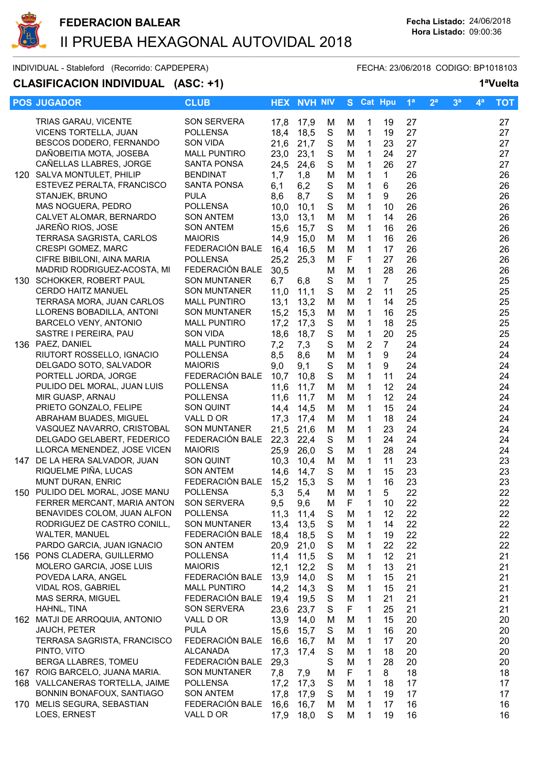

INDIVIDUAL - Stableford (Recorrido: CAPDEPERA) FECHA: 23/06/2018 CODIGO: BP1018103

### CLASIFICACION INDIVIDUAL (ASC: +1) 1<sup>a</sup>Vuelta

|      | <b>POS JUGADOR</b>                                         | <b>CLUB</b>                           |              | <b>HEX NVH NIV</b> |                  |        |                             | S Cat Hpu      | 1 <sup>a</sup> | 2 <sup>a</sup> | 3 <sup>a</sup> | $\mathbf{4}^{\mathsf{a}}$ | <b>TOT</b> |
|------|------------------------------------------------------------|---------------------------------------|--------------|--------------------|------------------|--------|-----------------------------|----------------|----------------|----------------|----------------|---------------------------|------------|
|      | TRIAS GARAU, VICENTE                                       | SON SERVERA                           | 17,8         | 17,9               | м                | M      | 1                           | 19             | 27             |                |                |                           | 27         |
|      | VICENS TORTELLA, JUAN                                      | <b>POLLENSA</b>                       | 18,4         | 18,5               | S                | M      | $\mathbf 1$                 | 19             | 27             |                |                |                           | 27         |
|      | BESCOS DODERO, FERNANDO                                    | SON VIDA                              | 21,6         | 21,7               | ${\mathsf S}$    | M      | $\mathbf 1$                 | 23             | 27             |                |                |                           | 27         |
|      | DAÑOBEITIA MOTA, JOSEBA                                    | <b>MALL PUNTIRO</b>                   | 23,0         | 23,1               | $\mathbf S$      | M      | $\mathbf{1}$                | 24             | 27             |                |                |                           | 27         |
|      | CAÑELLAS LLABRES, JORGE                                    | <b>SANTA PONSA</b>                    | 24,5         | 24,6               | $\mathbf S$      | M      | $\mathbf{1}$                | 26             | 27             |                |                |                           | 27         |
| 120  | SALVA MONTULET, PHILIP                                     | <b>BENDINAT</b>                       | 1,7          | 1,8                | M                | M      | $\mathbf{1}$                | $\mathbf 1$    | 26             |                |                |                           | 26         |
|      | ESTEVEZ PERALTA, FRANCISCO                                 | SANTA PONSA                           | 6,1          | 6,2                | ${\mathsf S}$    | M      | 1                           | 6              | 26             |                |                |                           | 26         |
|      | STANJEK, BRUNO                                             | <b>PULA</b>                           | 8,6          | 8,7                | $\mathbf S$      | M      | $\mathbf{1}$                | 9              | 26             |                |                |                           | 26         |
|      | MAS NOGUERA, PEDRO                                         | <b>POLLENSA</b>                       | 10,0         | 10,1               | S                | M      | $\mathbf{1}$                | 10             | 26             |                |                |                           | 26         |
|      | CALVET ALOMAR, BERNARDO                                    | <b>SON ANTEM</b>                      | 13,0         | 13,1               | M                | M      | 1                           | 14             | 26             |                |                |                           | 26         |
|      | JAREÑO RIOS, JOSE<br>TERRASA SAGRISTA, CARLOS              | <b>SON ANTEM</b><br><b>MAIORIS</b>    | 15,6<br>14,9 | 15,7<br>15,0       | S<br>M           | M<br>M | 1<br>$\mathbf{1}$           | 16<br>16       | 26<br>26       |                |                |                           | 26<br>26   |
|      | CRESPI GOMEZ, MARC                                         | FEDERACIÓN BALE                       | 16,4         | 16,5               | M                | M      | 1                           | 17             | 26             |                |                |                           | 26         |
|      | CIFRE BIBILONI, AINA MARIA                                 | <b>POLLENSA</b>                       | 25,2         | 25,3               | M                | F      | $\mathbf{1}$                | 27             | 26             |                |                |                           | 26         |
|      | MADRID RODRIGUEZ-ACOSTA, MI                                | FEDERACIÓN BALE                       | 30,5         |                    | M                | M      | $\mathbf{1}$                | 28             | 26             |                |                |                           | 26         |
|      | 130 SCHOKKER, ROBERT PAUL                                  | SON MUNTANER                          | 6,7          | 6,8                | $\mathbf S$      | M      | $\mathbf 1$                 | $\overline{7}$ | 25             |                |                |                           | 25         |
|      | <b>CERDO HAITZ MANUEL</b>                                  | <b>SON MUNTANER</b>                   | 11,0         | 11,1               | $\mathbf S$      | M      | $\overline{2}$              | 11             | 25             |                |                |                           | 25         |
|      | TERRASA MORA, JUAN CARLOS                                  | <b>MALL PUNTIRO</b>                   | 13,1         | 13,2               | M                | M      | $\mathbf{1}$                | 14             | 25             |                |                |                           | 25         |
|      | LLORENS BOBADILLA, ANTONI                                  | <b>SON MUNTANER</b>                   | 15,2         | 15,3               | M                | M      | $\mathbf{1}$                | 16             | 25             |                |                |                           | 25         |
|      | BARCELO VENY, ANTONIO                                      | <b>MALL PUNTIRO</b>                   | 17,2         | 17,3               | $\mathbf S$      | M      | $\mathbf{1}$                | 18             | 25             |                |                |                           | 25         |
|      | SASTRE I PEREIRA, PAU                                      | SON VIDA                              | 18,6         | 18,7               | $\mathsf S$      | M      | $\mathbf 1$                 | 20             | 25             |                |                |                           | 25         |
|      | 136 PAEZ, DANIEL                                           | <b>MALL PUNTIRO</b>                   | 7,2          | 7,3                | S                | M      | $\overline{2}$              | $\overline{7}$ | 24             |                |                |                           | 24         |
|      | RIUTORT ROSSELLO, IGNACIO                                  | <b>POLLENSA</b>                       | 8,5          | 8,6                | M                | M      | $\mathbf{1}$                | 9              | 24             |                |                |                           | 24         |
|      | DELGADO SOTO, SALVADOR<br>PORTELL JORDA, JORGE             | <b>MAIORIS</b><br>FEDERACIÓN BALE     | 9,0          | 9,1                | S<br>$\mathsf S$ | M<br>M | $\mathbf 1$<br>$\mathbf{1}$ | 9              | 24             |                |                |                           | 24         |
|      | PULIDO DEL MORAL, JUAN LUIS                                | <b>POLLENSA</b>                       | 10,7<br>11,6 | 10,8<br>11,7       | M                | M      | 1                           | 11<br>12       | 24<br>24       |                |                |                           | 24<br>24   |
|      | MIR GUASP, ARNAU                                           | <b>POLLENSA</b>                       | 11,6         | 11,7               | M                | M      | $\mathbf{1}$                | 12             | 24             |                |                |                           | 24         |
|      | PRIETO GONZALO, FELIPE                                     | SON QUINT                             | 14,4         | 14,5               | M                | M      | $\mathbf{1}$                | 15             | 24             |                |                |                           | 24         |
|      | ABRAHAM BUADES, MIGUEL                                     | VALL D OR                             | 17,3         | 17,4               | M                | M      | $\mathbf{1}$                | 18             | 24             |                |                |                           | 24         |
|      | VASQUEZ NAVARRO, CRISTOBAL                                 | <b>SON MUNTANER</b>                   | 21,5         | 21,6               | M                | M      | $\mathbf{1}$                | 23             | 24             |                |                |                           | 24         |
|      | DELGADO GELABERT, FEDERICO                                 | FEDERACIÓN BALE                       | 22,3         | 22,4               | ${\mathsf S}$    | M      | $\mathbf{1}$                | 24             | 24             |                |                |                           | 24         |
|      | LLORCA MENENDEZ, JOSE VICEN                                | <b>MAIORIS</b>                        | 25,9         | 26,0               | $\mathbf S$      | M      | $\mathbf{1}$                | 28             | 24             |                |                |                           | 24         |
| 147  | DE LA HERA SALVADOR, JUAN                                  | SON QUINT                             | 10,3         | 10,4               | M                | M      | 1                           | 11             | 23             |                |                |                           | 23         |
|      | RIQUELME PIÑA, LUCAS                                       | <b>SON ANTEM</b>                      | 14,6         | 14,7               | S                | M      | 1                           | 15             | 23             |                |                |                           | 23         |
|      | MUNT DURAN, ENRIC                                          | FEDERACIÓN BALE                       | 15,2         | 15,3               | $\mathbf S$      | M      | 1                           | 16             | 23             |                |                |                           | 23         |
| 150  | PULIDO DEL MORAL, JOSE MANU                                | <b>POLLENSA</b><br><b>SON SERVERA</b> | 5,3          | 5,4                | M                | M      | $\mathbf{1}$                | 5              | 22             |                |                |                           | 22         |
|      | FERRER MERCANT, MARIA ANTON<br>BENAVIDES COLOM, JUAN ALFON | <b>POLLENSA</b>                       | 9,5<br>11,3  | 9,6<br>11,4        | M<br>S           | F      | 1<br>1                      | 10<br>12       | 22<br>22       |                |                |                           | 22<br>22   |
|      | RODRIGUEZ DE CASTRO CONILL,                                | <b>SON MUNTANER</b>                   | 13,4         | 13,5               | S                | M<br>M | 1                           | 14             | 22             |                |                |                           | 22         |
|      | WALTER, MANUEL                                             | FEDERACIÓN BALE                       | 18,4         | 18,5               | S                | M      | 1                           | 19             | 22             |                |                |                           | 22         |
|      | PARDO GARCIA, JUAN IGNACIO                                 | <b>SON ANTEM</b>                      | 20,9         | 21,0               | ${\mathsf S}$    | M      | 1                           | 22             | 22             |                |                |                           | 22         |
|      | 156 PONS CLADERA, GUILLERMO                                | <b>POLLENSA</b>                       | 11,4         | 11,5               | ${\mathsf S}$    | M      | 1                           | 12             | 21             |                |                |                           | 21         |
|      | MOLERO GARCIA, JOSE LUIS                                   | <b>MAIORIS</b>                        | 12,1         | 12,2               | $\mathbf S$      | M      | 1                           | 13             | 21             |                |                |                           | 21         |
|      | POVEDA LARA, ANGEL                                         | FEDERACIÓN BALE                       | 13,9         | 14,0               | ${\mathsf S}$    | M      | 1                           | 15             | 21             |                |                |                           | 21         |
|      | VIDAL ROS, GABRIEL                                         | <b>MALL PUNTIRO</b>                   | 14,2         | 14,3               | S                | M      | 1                           | 15             | 21             |                |                |                           | 21         |
|      | MAS SERRA, MIGUEL                                          | FEDERACIÓN BALE                       | 19,4         | 19,5               | $\mathsf S$      | M      | 1                           | 21             | 21             |                |                |                           | 21         |
|      | HAHNL, TINA                                                | <b>SON SERVERA</b>                    | 23,6         | 23,7               | S                | F      | 1                           | 25             | 21             |                |                |                           | 21         |
| 162. | MATJI DE ARROQUIA, ANTONIO                                 | VALL D OR                             | 13,9         | 14,0               | M                | M      | 1                           | 15             | 20             |                |                |                           | 20         |
|      | JAUCH, PETER<br>TERRASA SAGRISTA, FRANCISCO                | <b>PULA</b><br>FEDERACIÓN BALE        | 15,6<br>16,6 | 15,7               | S                | M<br>M | 1<br>1                      | 16<br>17       | 20             |                |                |                           | 20<br>20   |
|      | PINTO, VITO                                                | <b>ALCANADA</b>                       | 17,3         | 16,7<br>17,4       | M<br>S           | M      | 1                           | 18             | 20<br>20       |                |                |                           | 20         |
|      | BERGA LLABRES, TOMEU                                       | FEDERACIÓN BALE                       | 29,3         |                    | $\mathsf S$      | M      | 1                           | 28             | 20             |                |                |                           | 20         |
|      | 167 ROIG BARCELO, JUANA MARIA.                             | <b>SON MUNTANER</b>                   | 7,8          | 7,9                | M                | F      | 1                           | 8              | 18             |                |                |                           | 18         |
|      | 168 VALLCANERAS TORTELLA, JAIME                            | <b>POLLENSA</b>                       | 17,2         | 17,3               | ${\mathsf S}$    | M      | 1                           | 18             | 17             |                |                |                           | 17         |
|      | BONNIN BONAFOUX, SANTIAGO                                  | <b>SON ANTEM</b>                      | 17,8         | 17,9               | $\mathsf S$      | M      | 1                           | 19             | 17             |                |                |                           | 17         |
|      | 170 MELIS SEGURA, SEBASTIAN                                | FEDERACIÓN BALE                       | 16,6         | 16,7               | M                | M      | 1                           | 17             | 16             |                |                |                           | 16         |
|      | LOES, ERNEST                                               | VALL D OR                             | 17,9         | 18,0               | S                | M      | 1                           | 19             | 16             |                |                |                           | 16         |